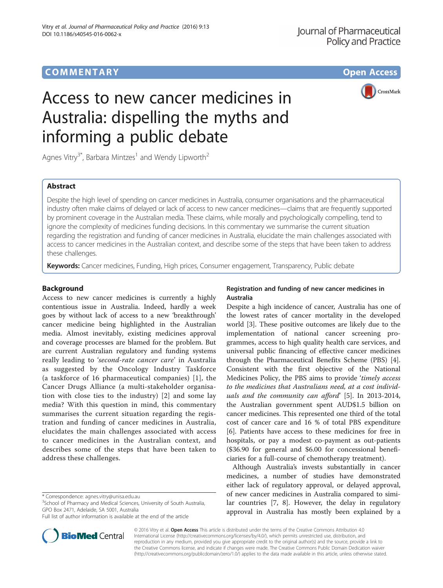CrossMark

# Access to new cancer medicines in Australia: dispelling the myths and informing a public debate

Agnes Vitry<sup>3\*</sup>, Barbara Mintzes<sup>1</sup> and Wendy Lipworth<sup>2</sup>

# Abstract

Despite the high level of spending on cancer medicines in Australia, consumer organisations and the pharmaceutical industry often make claims of delayed or lack of access to new cancer medicines—claims that are frequently supported by prominent coverage in the Australian media. These claims, while morally and psychologically compelling, tend to ignore the complexity of medicines funding decisions. In this commentary we summarise the current situation regarding the registration and funding of cancer medicines in Australia, elucidate the main challenges associated with access to cancer medicines in the Australian context, and describe some of the steps that have been taken to address these challenges.

Keywords: Cancer medicines, Funding, High prices, Consumer engagement, Transparency, Public debate

## Background

Access to new cancer medicines is currently a highly contentious issue in Australia. Indeed, hardly a week goes by without lack of access to a new 'breakthrough' cancer medicine being highlighted in the Australian media. Almost inevitably, existing medicines approval and coverage processes are blamed for the problem. But are current Australian regulatory and funding systems really leading to 'second-rate cancer care' in Australia as suggested by the Oncology Industry Taskforce (a taskforce of 16 pharmaceutical companies) [\[1\]](#page-4-0), the Cancer Drugs Alliance (a multi-stakeholder organisation with close ties to the industry) [\[2](#page-4-0)] and some lay media? With this question in mind, this commentary summarises the current situation regarding the registration and funding of cancer medicines in Australia, elucidates the main challenges associated with access to cancer medicines in the Australian context, and describes some of the steps that have been taken to address these challenges.

<sup>3</sup>School of Pharmacy and Medical Sciences, University of South Australia, GPO Box 2471, Adelaide, SA 5001, Australia



Despite a high incidence of cancer, Australia has one of the lowest rates of cancer mortality in the developed world [[3\]](#page-4-0). These positive outcomes are likely due to the implementation of national cancer screening programmes, access to high quality health care services, and universal public financing of effective cancer medicines through the Pharmaceutical Benefits Scheme (PBS) [\[4](#page-4-0)]. Consistent with the first objective of the National Medicines Policy, the PBS aims to provide 'timely access to the medicines that Australians need, at a cost individuals and the community can afford' [[5\]](#page-4-0). In 2013-2014, the Australian government spent AUD\$1.5 billion on cancer medicines. This represented one third of the total cost of cancer care and 16 % of total PBS expenditure [[6\]](#page-4-0). Patients have access to these medicines for free in hospitals, or pay a modest co-payment as out-patients (\$36.90 for general and \$6.00 for concessional beneficiaries for a full-course of chemotherapy treatment).

Although Australia's invests substantially in cancer medicines, a number of studies have demonstrated either lack of regulatory approval, or delayed approval, of new cancer medicines in Australia compared to similar countries [\[7](#page-4-0), [8\]](#page-4-0). However, the delay in regulatory approval in Australia has mostly been explained by a



© 2016 Vitry et al. Open Access This article is distributed under the terms of the Creative Commons Attribution 4.0 International License [\(http://creativecommons.org/licenses/by/4.0/](http://creativecommons.org/licenses/by/4.0/)), which permits unrestricted use, distribution, and reproduction in any medium, provided you give appropriate credit to the original author(s) and the source, provide a link to the Creative Commons license, and indicate if changes were made. The Creative Commons Public Domain Dedication waiver [\(http://creativecommons.org/publicdomain/zero/1.0/](http://creativecommons.org/publicdomain/zero/1.0/)) applies to the data made available in this article, unless otherwise stated.

<sup>\*</sup> Correspondence: [agnes.vitry@unisa.edu.au](mailto:agnes.vitry@unisa.edu.au) <sup>3</sup>

Full list of author information is available at the end of the article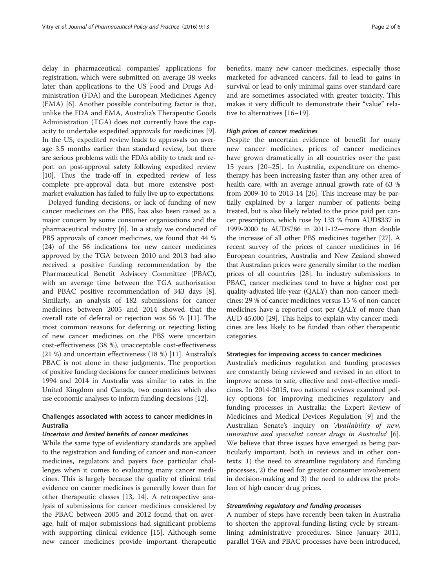delay in pharmaceutical companies' applications for registration, which were submitted on average 38 weeks later than applications to the US Food and Drugs Administration (FDA) and the European Medicines Agency (EMA) [[6\]](#page-4-0). Another possible contributing factor is that, unlike the FDA and EMA, Australia's Therapeutic Goods Administration (TGA) does not currently have the capacity to undertake expedited approvals for medicines [\[9](#page-4-0)]. In the US, expedited review leads to approvals on average 3.5 months earlier than standard review, but there are serious problems with the FDA's ability to track and report on post-approval safety following expedited review [[10](#page-4-0)]. Thus the trade-off in expedited review of less complete pre-approval data but more extensive postmarket evaluation has failed to fully live up to expectations.

Delayed funding decisions, or lack of funding of new cancer medicines on the PBS, has also been raised as a major concern by some consumer organisations and the pharmaceutical industry [[6\]](#page-4-0). In a study we conducted of PBS approvals of cancer medicines, we found that 44 % (24) of the 56 indications for new cancer medicines approved by the TGA between 2010 and 2013 had also received a positive funding recommendation by the Pharmaceutical Benefit Advisory Committee (PBAC), with an average time between the TGA authorisation and PBAC positive recommendation of 343 days [\[8](#page-4-0)]. Similarly, an analysis of 182 submissions for cancer medicines between 2005 and 2014 showed that the overall rate of deferral or rejection was 56 % [\[11\]](#page-4-0). The most common reasons for deferring or rejecting listing of new cancer medicines on the PBS were uncertain cost-effectiveness (38 %), unacceptable cost-effectiveness (21 %) and uncertain effectiveness (18 %) [[11\]](#page-4-0). Australia's PBAC is not alone in these judgments. The proportion of positive funding decisions for cancer medicines between 1994 and 2014 in Australia was similar to rates in the United Kingdom and Canada, two countries which also use economic analyses to inform funding decisions [\[12\]](#page-4-0).

## Challenges associated with access to cancer medicines in Australia

#### Uncertain and limited benefits of cancer medicines

While the same type of evidentiary standards are applied to the registration and funding of cancer and non-cancer medicines, regulators and payers face particular challenges when it comes to evaluating many cancer medicines. This is largely because the quality of clinical trial evidence on cancer medicines is generally lower than for other therapeutic classes [\[13, 14](#page-4-0)]. A retrospective analysis of submissions for cancer medicines considered by the PBAC between 2005 and 2012 found that on average, half of major submissions had significant problems with supporting clinical evidence [[15\]](#page-4-0). Although some new cancer medicines provide important therapeutic

benefits, many new cancer medicines, especially those marketed for advanced cancers, fail to lead to gains in survival or lead to only minimal gains over standard care and are sometimes associated with greater toxicity. This makes it very difficult to demonstrate their "value" relative to alternatives [\[16](#page-4-0)–[19\]](#page-4-0).

#### High prices of cancer medicines

Despite the uncertain evidence of benefit for many new cancer medicines, prices of cancer medicines have grown dramatically in all countries over the past 15 years [[20](#page-4-0)–[25\]](#page-4-0). In Australia, expenditure on chemotherapy has been increasing faster than any other area of health care, with an average annual growth rate of 63 % from 2009-10 to 2013-14 [\[26\]](#page-4-0). This increase may be partially explained by a larger number of patients being treated, but is also likely related to the price paid per cancer prescription, which rose by 133 % from AUD\$337 in 1999-2000 to AUD\$786 in 2011-12—more than double the increase of all other PBS medicines together [[27](#page-4-0)]. A recent survey of the prices of cancer medicines in 16 European countries, Australia and New Zealand showed that Australian prices were generally similar to the median prices of all countries [[28](#page-4-0)]. In industry submissions to PBAC, cancer medicines tend to have a higher cost per quality-adjusted life-year (QALY) than non-cancer medicines: 29 % of cancer medicines versus 15 % of non-cancer medicines have a reported cost per QALY of more than AUD 45,000 [[29](#page-4-0)]. This helps to explain why cancer medicines are less likely to be funded than other therapeutic categories.

#### Strategies for improving access to cancer medicines

Australia's medicines regulation and funding processes are constantly being reviewed and revised in an effort to improve access to safe, effective and cost-effective medicines. In 2014-2015, two national reviews examined policy options for improving medicines regulatory and funding processes in Australia: the Expert Review of Medicines and Medical Devices Regulation [[9\]](#page-4-0) and the Australian Senate's inquiry on 'Availability of new, innovative and specialist cancer drugs in Australia' [\[6](#page-4-0)]. We believe that three issues have emerged as being particularly important, both in reviews and in other contexts: 1) the need to streamline regulatory and funding processes, 2) the need for greater consumer involvement in decision-making and 3) the need to address the problem of high cancer drug prices.

#### Streamlining regulatory and funding processes

A number of steps have recently been taken in Australia to shorten the approval-funding-listing cycle by streamlining administrative procedures. Since January 2011, parallel TGA and PBAC processes have been introduced,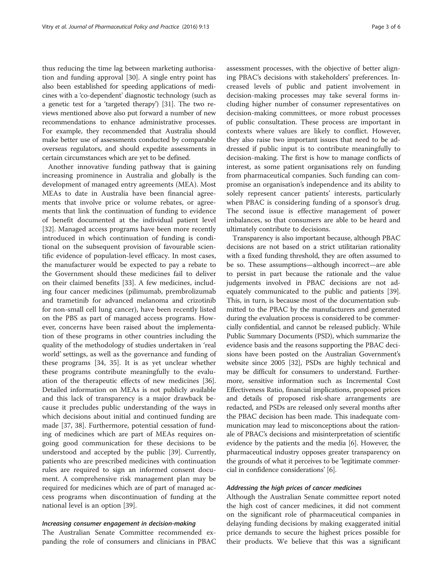thus reducing the time lag between marketing authorisation and funding approval [[30\]](#page-4-0). A single entry point has also been established for speeding applications of medicines with a 'co-dependent' diagnostic technology (such as a genetic test for a 'targeted therapy') [[31\]](#page-4-0). The two reviews mentioned above also put forward a number of new recommendations to enhance administrative processes. For example, they recommended that Australia should make better use of assessments conducted by comparable overseas regulators, and should expedite assessments in certain circumstances which are yet to be defined.

Another innovative funding pathway that is gaining increasing prominence in Australia and globally is the development of managed entry agreements (MEA). Most MEAs to date in Australia have been financial agreements that involve price or volume rebates, or agreements that link the continuation of funding to evidence of benefit documented at the individual patient level [[32\]](#page-4-0). Managed access programs have been more recently introduced in which continuation of funding is conditional on the subsequent provision of favourable scientific evidence of population-level efficacy. In most cases, the manufacturer would be expected to pay a rebate to the Government should these medicines fail to deliver on their claimed benefits [[33](#page-4-0)]. A few medicines, including four cancer medicines (pilimumab, prembrolizumab and trametinib for advanced melanoma and crizotinib for non-small cell lung cancer), have been recently listed on the PBS as part of managed access programs. However, concerns have been raised about the implementation of these programs in other countries including the quality of the methodology of studies undertaken in 'real world' settings, as well as the governance and funding of these programs [\[34](#page-4-0), [35](#page-4-0)]. It is as yet unclear whether these programs contribute meaningfully to the evaluation of the therapeutic effects of new medicines [\[36](#page-4-0)]. Detailed information on MEAs is not publicly available and this lack of transparency is a major drawback because it precludes public understanding of the ways in which decisions about initial and continued funding are made [\[37](#page-4-0), [38\]](#page-4-0). Furthermore, potential cessation of funding of medicines which are part of MEAs requires ongoing good communication for these decisions to be understood and accepted by the public [[39\]](#page-4-0). Currently, patients who are prescribed medicines with continuation rules are required to sign an informed consent document. A comprehensive risk management plan may be required for medicines which are of part of managed access programs when discontinuation of funding at the national level is an option [[39\]](#page-4-0).

#### Increasing consumer engagement in decision-making

The Australian Senate Committee recommended expanding the role of consumers and clinicians in PBAC assessment processes, with the objective of better aligning PBAC's decisions with stakeholders' preferences. Increased levels of public and patient involvement in decision-making processes may take several forms including higher number of consumer representatives on decision-making committees, or more robust processes of public consultation. These process are important in contexts where values are likely to conflict. However, they also raise two important issues that need to be addressed if public input is to contribute meaningfully to decision-making. The first is how to manage conflicts of interest, as some patient organisations rely on funding from pharmaceutical companies. Such funding can compromise an organisation's independence and its ability to solely represent cancer patients' interests, particularly when PBAC is considering funding of a sponsor's drug. The second issue is effective management of power imbalances, so that consumers are able to be heard and ultimately contribute to decisions.

Transparency is also important because, although PBAC decisions are not based on a strict utilitarian rationality with a fixed funding threshold, they are often assumed to be so. These assumptions—although incorrect—are able to persist in part because the rationale and the value judgements involved in PBAC decisions are not adequately communicated to the public and patients [[39](#page-4-0)]. This, in turn, is because most of the documentation submitted to the PBAC by the manufacturers and generated during the evaluation process is considered to be commercially confidential, and cannot be released publicly. While Public Summary Documents (PSD), which summarize the evidence basis and the reasons supporting the PBAC decisions have been posted on the Australian Government's website since 2005 [\[32\]](#page-4-0), PSDs are highly technical and may be difficult for consumers to understand. Furthermore, sensitive information such as Incremental Cost Effectiveness Ratio, financial implications, proposed prices and details of proposed risk-share arrangements are redacted, and PSDs are released only several months after the PBAC decision has been made. This inadequate communication may lead to misconceptions about the rationale of PBAC's decisions and misinterpretation of scientific evidence by the patients and the media [[6\]](#page-4-0). However, the pharmaceutical industry opposes greater transparency on the grounds of what it perceives to be 'legitimate commercial in confidence considerations' [[6\]](#page-4-0).

#### Addressing the high prices of cancer medicines

Although the Australian Senate committee report noted the high cost of cancer medicines, it did not comment on the significant role of pharmaceutical companies in delaying funding decisions by making exaggerated initial price demands to secure the highest prices possible for their products. We believe that this was a significant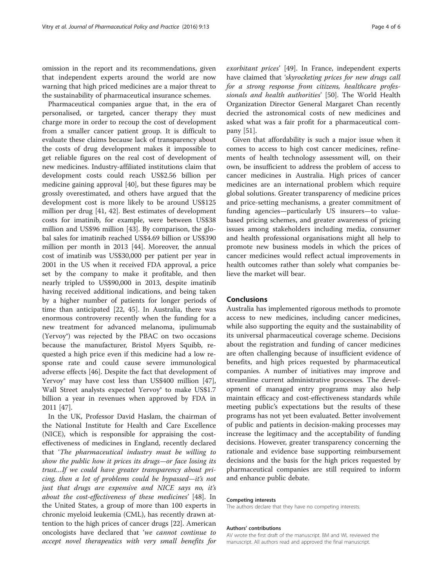omission in the report and its recommendations, given that independent experts around the world are now warning that high priced medicines are a major threat to the sustainability of pharmaceutical insurance schemes.

Pharmaceutical companies argue that, in the era of personalised, or targeted, cancer therapy they must charge more in order to recoup the cost of development from a smaller cancer patient group. It is difficult to evaluate these claims because lack of transparency about the costs of drug development makes it impossible to get reliable figures on the real cost of development of new medicines. Industry-affiliated institutions claim that development costs could reach US\$2.56 billion per medicine gaining approval [\[40](#page-4-0)], but these figures may be grossly overestimated, and others have argued that the development cost is more likely to be around US\$125 million per drug [\[41, 42](#page-4-0)]. Best estimates of development costs for imatinib, for example, were between US\$38 million and US\$96 million [[43\]](#page-5-0). By comparison, the global sales for imatinib reached US\$4.69 billion or US\$390 million per month in 2013 [[44\]](#page-5-0). Moreover, the annual cost of imatinib was US\$30,000 per patient per year in 2001 in the US when it received FDA approval, a price set by the company to make it profitable, and then nearly tripled to US\$90,000 in 2013, despite imatinib having received additional indications, and being taken by a higher number of patients for longer periods of time than anticipated [[22](#page-4-0), [45](#page-5-0)]. In Australia, there was enormous controversy recently when the funding for a new treatment for advanced melanoma, ipulimumab (Yervoy®) was rejected by the PBAC on two occasions because the manufacturer, Bristol Myers Squibb, requested a high price even if this medicine had a low response rate and could cause severe immunological adverse effects [\[46](#page-5-0)]. Despite the fact that development of Yervoy® may have cost less than US\$400 million [\[47](#page-5-0)], Wall Street analysts expected Yervoy® to make US\$1.7 billion a year in revenues when approved by FDA in 2011 [\[47](#page-5-0)].

In the UK, Professor David Haslam, the chairman of the National Institute for Health and Care Excellence (NICE), which is responsible for appraising the costeffectiveness of medicines in England, recently declared that 'The pharmaceutical industry must be willing to show the public how it prices its drugs—or face losing its trust…If we could have greater transparency about pricing, then a lot of problems could be bypassed—it's not just that drugs are expensive and NICE says no, it's about the cost-effectiveness of these medicines' [[48](#page-5-0)]. In the United States, a group of more than 100 experts in chronic myeloid leukemia (CML), has recently drawn attention to the high prices of cancer drugs [[22](#page-4-0)]. American oncologists have declared that 'we cannot continue to accept novel therapeutics with very small benefits for

exorbitant prices' [\[49\]](#page-5-0). In France, independent experts have claimed that 'skyrocketing prices for new drugs call for a strong response from citizens, healthcare professionals and health authorities' [\[50](#page-5-0)]. The World Health Organization Director General Margaret Chan recently decried the astronomical costs of new medicines and asked what was a fair profit for a pharmaceutical company [\[51](#page-5-0)].

Given that affordability is such a major issue when it comes to access to high cost cancer medicines, refinements of health technology assessment will, on their own, be insufficient to address the problem of access to cancer medicines in Australia. High prices of cancer medicines are an international problem which require global solutions. Greater transparency of medicine prices and price-setting mechanisms, a greater commitment of funding agencies—particularly US insurers—to valuebased pricing schemes, and greater awareness of pricing issues among stakeholders including media, consumer and health professional organisations might all help to promote new business models in which the prices of cancer medicines would reflect actual improvements in health outcomes rather than solely what companies believe the market will bear.

## Conclusions

Australia has implemented rigorous methods to promote access to new medicines, including cancer medicines, while also supporting the equity and the sustainability of its universal pharmaceutical coverage scheme. Decisions about the registration and funding of cancer medicines are often challenging because of insufficient evidence of benefits, and high prices requested by pharmaceutical companies. A number of initiatives may improve and streamline current administrative processes. The development of managed entry programs may also help maintain efficacy and cost-effectiveness standards while meeting public's expectations but the results of these programs has not yet been evaluated. Better involvement of public and patients in decision-making processes may increase the legitimacy and the acceptability of funding decisions. However, greater transparency concerning the rationale and evidence base supporting reimbursement decisions and the basis for the high prices requested by pharmaceutical companies are still required to inform and enhance public debate.

#### Competing interests

The authors declare that they have no competing interests.

#### Authors' contributions

AV wrote the first draft of the manuscript. BM and WL reviewed the manuscript. All authors read and approved the final manuscript.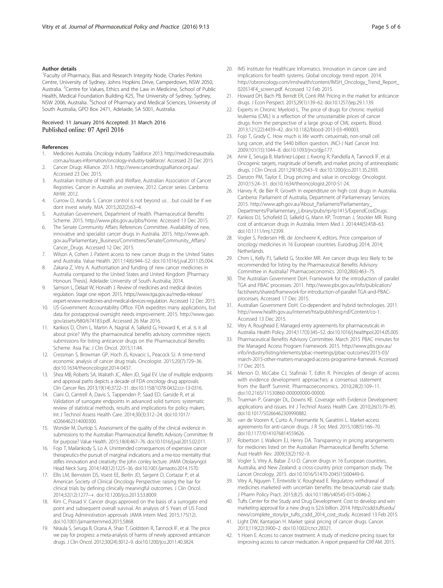<span id="page-4-0"></span><sup>1</sup> Faculty of Pharmacy, Bias and Research Integrity Node, Charles Perkins Centre, University of Sydney, Johns Hopkins Drive, Camperdown, NSW 2050, Australia. <sup>2</sup>Centre for Values, Ethics and the Law in Medicine, School of Public Health, Medical Foundation Building K25, The University of Sydney, Sydney, NSW 2006, Australia. <sup>3</sup>School of Pharmacy and Medical Sciences, University of South Australia, GPO Box 2471, Adelaide, SA 5001, Australia.

#### Received: 11 January 2016 Accepted: 31 March 2016 Published online: 07 April 2016

#### References

- 1. Medicines Australia. Oncology Industry Taskforce 2013. [http://medicinesaustralia.](http://medicinesaustralia.com.au/issues-information/oncology-industry-taskforce/) [com.au/issues-information/oncology-industry-taskforce/](http://medicinesaustralia.com.au/issues-information/oncology-industry-taskforce/). Accessed 23 Dec 2015.
- 2. Cancer Drugs Alliance. 2013. [http://www.cancerdrugsalliance.org.au/.](http://www.cancerdrugsalliance.org.au/) Accessed 23 Dec 2015.
- 3. Australian Institute of Health and Welfare, Australian Association of Cancer Registries. Cancer in Australia: an overview, 2012. Cancer series. Canberra: AIHW; 2012.
- 4. Currow D, Aranda S. Cancer control is not beyond us…but could be if we dont invest wisely. MJA. 2015;202(2):63–4.
- 5. Australian Government, Department of Health. Pharmaceutical Benefits Scheme. 2015. [http://www.pbs.gov.au/pbs/home.](http://www.pbs.gov.au/pbs/home) Accessed 13 Dec 2015.
- 6. The Senate Community Affairs References Committee. Availability of new, innovative and specialist cancer drugs in Australia. 2015. [http://www.aph.](http://www.aph.gov.au/Parliamentary_Business/Committees/Senate/Community_Affairs/Cancer_Drugs) [gov.au/Parliamentary\\_Business/Committees/Senate/Community\\_Affairs/](http://www.aph.gov.au/Parliamentary_Business/Committees/Senate/Community_Affairs/Cancer_Drugs) [Cancer\\_Drugs.](http://www.aph.gov.au/Parliamentary_Business/Committees/Senate/Community_Affairs/Cancer_Drugs) Accessed 12 Dec 2015.
- 7. Wilson A, Cohen J. Patient access to new cancer drugs in the United States and Australia. Value Health. 2011;14(6):944–52. doi:[10.1016/j.jval.2011.05.004.](http://dx.doi.org/10.1016/j.jval.2011.05.004)
- 8. Zakaria Z, Vitry A. Authorisation and funding of new cancer medicines in Australia compared to the United States and United Kingdom [Pharmacy Honours Thesis]. Adelaide: University of South Australia; 2014.
- Samson L, Delaat W, Horvath J. Review of medicines and medical devices regulation. Stage one report. 2015. [https://www.tga.gov.au/media-release/](https://www.tga.gov.au/media-release/expert-review-medicines-and-medical-devices-regulation) [expert-review-medicines-and-medical-devices-regulation.](https://www.tga.gov.au/media-release/expert-review-medicines-and-medical-devices-regulation) Accessed 12 Dec 2015.
- 10. US Government Accountability Office. FDA expedites many applications, but data for postapproval oversight needs improvement. 2015. [http://www.gao.](http://www.gao.gov/assets/680/674183.pdf) [gov/assets/680/674183.pdf.](http://www.gao.gov/assets/680/674183.pdf) Accessed 26 Mar 2016.
- 11. Karikios D, Chim L, Martin A, Nagrial A, Salkeld G, Howard K, et al. Is it all about price? Why the pharmaceutical benefits advisory committee rejects submissions for listing anticancer drugs on the Pharmaceutical Benefits Scheme. Asia Pac J Clin Oncol. 2015;11:44.
- 12. Cressman S, Browman GP, Hoch JS, Kovacic L, Peacock SJ. A time-trend economic analysis of cancer drug trials. Oncologist. 2015;20(7):729–36. doi[:10.1634/theoncologist.2014-0437.](http://dx.doi.org/10.1634/theoncologist.2014-0437)
- 13. Shea MB, Roberts SA, Walrath JC, Allen JD, Sigal EV. Use of multiple endpoints and approval paths depicts a decade of FDA oncology drug approvals. Clin Cancer Res. 2013;19(14):3722–31. doi[:10.1158/1078-0432.ccr-13-0316](http://dx.doi.org/10.1158/1078-0432.ccr-13-0316).
- 14. Ciani O, Cantrell A, Davis S, Tappenden P, Saad ED, Garside R, et al. Validation of surrogate endpoints in advanced solid tumors: systematic review of statistical methods, results and implications for policy makers. Int J Technol Assess Health Care. 2014;30(3):312–24. doi:[10.1017/](http://dx.doi.org/10.1017/s0266462314000300) [s0266462314000300.](http://dx.doi.org/10.1017/s0266462314000300)
- 15. Wonder M, Dunlop S. Assessment of the quality of the clinical evidence in submissions to the Australian Pharmaceutical Benefits Advisory Committee: fit for purpose? Value Health. 2015;18(4):467–76. doi[:10.1016/j.jval.2015.02.011](http://dx.doi.org/10.1016/j.jval.2015.02.011).
- 16. Fojo T, Mailankody S, Lo A. Unintended consequences of expensive cancer therapeutics-the pursuit of marginal indications and a me-too mentality that stifles innovation and creativity: the john conley lecture. JAMA Otolaryngol Head Neck Surg. 2014;140(12):1225–36. doi[:10.1001/jamaoto.2014.1570](http://dx.doi.org/10.1001/jamaoto.2014.1570).
- 17. Ellis LM, Bernstein DS, Voest EE, Berlin JD, Sargent D, Cortazar P, et al. American Society of Clinical Oncology Perspective: raising the bar for clinical trials by defining clinically meaningful outcomes. J Clin Oncol. 2014;32(12):1277–+. doi[:10.1200/jco.2013.53.8009](http://dx.doi.org/10.1200/jco.2013.53.8009).
- 18. Kim C, Prasad V. Cancer drugs approved on the basis of a surrogate end point and subsequent overall survival. An analysis of 5 Years of US Food and Drug Administration approvals JAMA Intern Med. 2015;175(12). doi[:10.1001/jamainternmed.2015.5868](http://dx.doi.org/10.1001/jamainternmed.2015.5868).
- 19. Niraula S, Seruga B, Ocana A, Shao T, Goldstein R, Tannock IF, et al. The price we pay for progress: a meta-analysis of harms of newly approved anticancer drugs. J Clin Oncol. 2012;30(24):3012–9. doi:[10.1200/jco.2011.40.3824.](http://dx.doi.org/10.1200/jco.2011.40.3824)
- 20. IMS Institute for Healthcare Informatics. Innovation in cancer care and implications for health systems. Global oncology trend report. 2014. [http://obroncology.com/imshealth/content/IMSH\\_Oncology\\_Trend\\_Report\\_](http://obroncology.com/imshealth/content/IMSH_Oncology_Trend_Report_020514F4_screen.pdf) [020514F4\\_screen.pdf.](http://obroncology.com/imshealth/content/IMSH_Oncology_Trend_Report_020514F4_screen.pdf) Accessed 12 Feb 2015.
- 21. Howard DH, Bach PB, Berndt ER, Conti RM. Pricing in the market for anticancer drugs. J Econ Perspect. 2015;29(1):139–62. doi:[10.1257/jep.29.1.139.](http://dx.doi.org/10.1257/jep.29.1.139)
- Experts in Chronic Myeloid L. The price of drugs for chronic myeloid leukemia (CML) is a reflection of the unsustainable prices of cancer drugs: from the perspective of a large group of CML experts. Blood. 2013;121(22):4439–42. doi[:10.1182/blood-2013-03-490003](http://dx.doi.org/10.1182/blood-2013-03-490003).
- 23. Fojo T, Grady C. How much is life worth: cetuximab, non-small cell lung cancer, and the \$440 billion question. JNCI-J Natl Cancer Inst. 2009;101(15):1044–8. doi:[10.1093/jnci/djp177.](http://dx.doi.org/10.1093/jnci/djp177)
- 24. Amir E, Seruga B, Martinez-Lopez J, Kwong R, Pandiella A, Tannock IF, et al. Oncogenic targets, magnitude of benefit, and market pricing of antineoplastic drugs. J Clin Oncol. 2011;29(18):2543–9. doi:[10.1200/jco.2011.35.2393.](http://dx.doi.org/10.1200/jco.2011.35.2393)
- 25. Danzon PM, Taylor E. Drug pricing and value in oncology. Oncologist. 2010;15:24–31. doi[:10.1634/theoncologist.2010-S1-24](http://dx.doi.org/10.1634/theoncologist.2010-S1-24).
- 26. Harvey R, de Bier R. Growth in expenditure on high cost drugs in Australia. Canberra: Parliament of Australia, Department of Parliamenrary Services; 2015. [http://www.aph.gov.au/About\\_Parliament/Parliamentary\\_](http://www.aph.gov.au/About_Parliament/Parliamentary_Departments/Parliamentary_Library/pubs/rp/rp1415/ExpendCostDrugs) [Departments/Parliamentary\\_Library/pubs/rp/rp1415/ExpendCostDrugs](http://www.aph.gov.au/About_Parliament/Parliamentary_Departments/Parliamentary_Library/pubs/rp/rp1415/ExpendCostDrugs).
- 27. Karikios DJ, Schofield D, Salkeld G, Mann KP, Trotman J, Stockler MR. Rising cost of anticancer drugs in Australia. Intern Med J. 2014;44(5):458–63. doi[:10.1111/imj.12399](http://dx.doi.org/10.1111/imj.12399).
- 28. Vogler S, Pedersen HB, de Joncheere K, editors. Price comparison of oncology medicines in 16 European countries. Eurodrug 2014; 2014; Netherlands.
- 29. Chim L, Kelly PJ, Salkeld G, Stockler MR. Are cancer drugs less likely to be recommended for listing by the Pharmaceutical Benefits Advisory Committee in Australia? Pharmacoeconomics. 2010;28(6):463–75.
- 30. The Australian Government DoH. Framework for the introduction of parallel TGA and PBAC processes. 2011. [http://www.pbs.gov.au/info/publication/](http://www.pbs.gov.au/info/publication/factsheets/shared/framework-for-introduction-of-parallel-TGA-and-PBAC-processes) [factsheets/shared/framework-for-introduction-of-parallel-TGA-and-PBAC](http://www.pbs.gov.au/info/publication/factsheets/shared/framework-for-introduction-of-parallel-TGA-and-PBAC-processes)[processes](http://www.pbs.gov.au/info/publication/factsheets/shared/framework-for-introduction-of-parallel-TGA-and-PBAC-processes). Accessed 17 Dec 2015.
- 31. Australian Government DoH. Co-dependent and hybrid technologies. 2011. [http://www.health.gov.au/internet/hta/publishing.nsf/Content/co-1.](http://www.health.gov.au/internet/hta/publishing.nsf/Content/co-1) Accessed 13 Dec 2015.
- 32. Vitry A, Roughead E. Managed entry agreements for pharmaceuticals in Australia. Health Policy. 2014;117(3):345–52. doi[:10.1016/j.healthpol.2014.05.005](http://dx.doi.org/10.1016/j.healthpol.2014.05.005).
- 33. Pharmaceutical Benefits Advisory Committee. March 2015 PBAC minutes for the Managed Access Program Framework. 2015. [http://www.pbs.gov.au/](http://www.pbs.gov.au/info/industry/listing/elements/pbac-meetings/pbac-outcomes/2015-03/march-2015-other-matters-managed-access-programme-framewk) [info/industry/listing/elements/pbac-meetings/pbac-outcomes/2015-03/](http://www.pbs.gov.au/info/industry/listing/elements/pbac-meetings/pbac-outcomes/2015-03/march-2015-other-matters-managed-access-programme-framewk) [march-2015-other-matters-managed-access-programme-framewk.](http://www.pbs.gov.au/info/industry/listing/elements/pbac-meetings/pbac-outcomes/2015-03/march-2015-other-matters-managed-access-programme-framewk) Accessed 17 Dec 2015.
- 34. Menon D, McCabe CJ, Stafinski T, Edlin R. Principles of design of access with evidence development approaches: a consensus statement from the Banff Summit. Pharmacoeconomics. 2010;28(2):109–11. doi[:10.2165/11530860-000000000-00000.](http://dx.doi.org/10.2165/11530860-000000000-00000)
- 35. Trueman P, Grainger DL, Downs KE. Coverage with Evidence Development: applications and issues. Int J Technol Assess Health Care. 2010;26(1):79–85. doi[:10.1017/S0266462309990882.](http://dx.doi.org/10.1017/S0266462309990882)
- 36. van de Vooren K, Curto A, Freemantle N, Garattini L. Market-access agreements for anti-cancer drugs. J R Soc Med. 2015;108(5):166–70. doi[:10.1177/0141076814559626.](http://dx.doi.org/10.1177/0141076814559626)
- 37. Robertson J, Walkom EJ, Henry DA. Transparency in pricing arrangements for medicines listed on the Australian Pharmaceutical Benefits Scheme. Aust Health Rev. 2009;33(2):192–9.
- 38. Vogler S, Vitry A, Babar Z-U-D. Cancer drugs in 16 European countries, Australia, and New Zealand: a cross-country price comparison study. The Lancet Oncology. 2015. doi:[10.1016/S1470-2045\(15\)00449-0.](http://dx.doi.org/10.1016/S1470-2045(15)00449-0)
- 39. Vitry A, Nguyen T, Entwistle V, Roughead E. Regulatory withdrawal of medicines marketed with uncertain benefits: the bevacizumab case study. J Pharm Policy Pract. 2015;8:25. doi:[10.1186/s40545-015-0046-2](http://dx.doi.org/10.1186/s40545-015-0046-2).
- 40. Tufts Center for the Study and Drug Development. Cost to develop and win marketing approval for a new drug is \$2.6 billion. 2014. [http://csdd.tufts.edu/](http://csdd.tufts.edu/news/complete_story/pr_tufts_csdd_2014_cost_study) [news/complete\\_story/pr\\_tufts\\_csdd\\_2014\\_cost\\_study.](http://csdd.tufts.edu/news/complete_story/pr_tufts_csdd_2014_cost_study) Accessed 13 Feb 2015.
- 41. Light DW, Kantarjian H. Market spiral pricing of cancer drugs. Cancer. 2013;119(22):3900–2. doi:[10.1002/cncr.28321](http://dx.doi.org/10.1002/cncr.28321).
- 42. 't Hoen E. Access to cancer treatment. A study of medicine pricing issues for improving access to cancer medication. A report prepared for OXFAM. 2015.